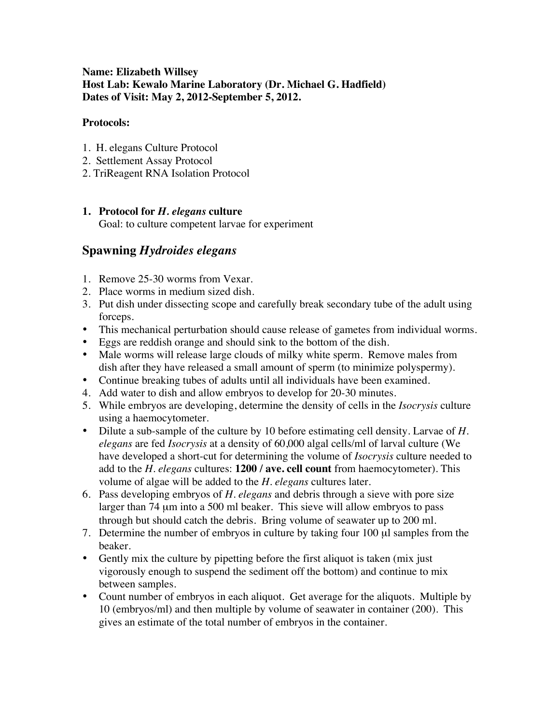### **Name: Elizabeth Willsey Host Lab: Kewalo Marine Laboratory (Dr. Michael G. Hadfield) Dates of Visit: May 2, 2012-September 5, 2012.**

#### **Protocols:**

- 1. H. elegans Culture Protocol
- 2. Settlement Assay Protocol
- 2. TriReagent RNA Isolation Protocol

# **1. Protocol for** *H. elegans* **culture**

Goal: to culture competent larvae for experiment

# **Spawning** *Hydroides elegans*

- 1. Remove 25-30 worms from Vexar.
- 2. Place worms in medium sized dish.
- 3. Put dish under dissecting scope and carefully break secondary tube of the adult using forceps.
- This mechanical perturbation should cause release of gametes from individual worms.
- Eggs are reddish orange and should sink to the bottom of the dish.
- Male worms will release large clouds of milky white sperm. Remove males from dish after they have released a small amount of sperm (to minimize polyspermy).
- Continue breaking tubes of adults until all individuals have been examined.
- 4. Add water to dish and allow embryos to develop for 20-30 minutes.
- 5. While embryos are developing, determine the density of cells in the *Isocrysis* culture using a haemocytometer.
- Dilute a sub-sample of the culture by 10 before estimating cell density. Larvae of *H. elegans* are fed *Isocrysis* at a density of 60,000 algal cells/ml of larval culture (We have developed a short-cut for determining the volume of *Isocrysis* culture needed to add to the *H. elegans* cultures: **1200 / ave. cell count** from haemocytometer). This volume of algae will be added to the *H. elegans* cultures later.
- 6. Pass developing embryos of *H. elegans* and debris through a sieve with pore size larger than 74 µm into a 500 ml beaker. This sieve will allow embryos to pass through but should catch the debris. Bring volume of seawater up to 200 ml.
- 7. Determine the number of embryos in culture by taking four 100 µl samples from the beaker.
- Gently mix the culture by pipetting before the first aliquot is taken (mix just) vigorously enough to suspend the sediment off the bottom) and continue to mix between samples.
- Count number of embryos in each aliquot. Get average for the aliquots. Multiple by 10 (embryos/ml) and then multiple by volume of seawater in container (200). This gives an estimate of the total number of embryos in the container.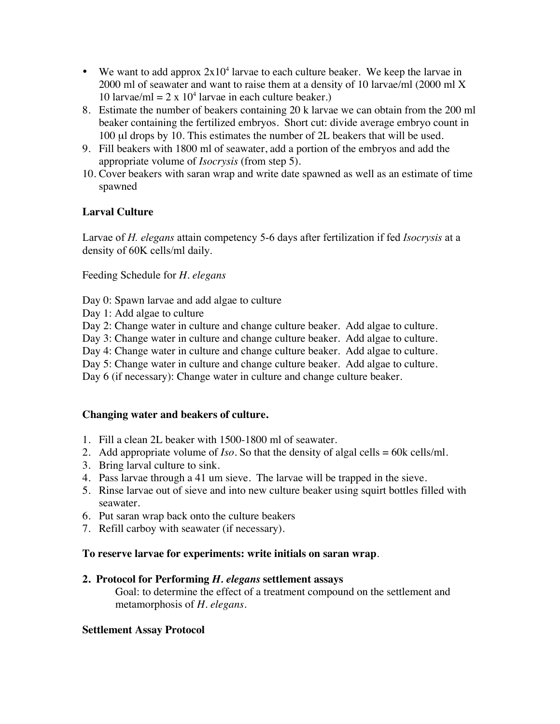- We want to add approx  $2x10^4$  larvae to each culture beaker. We keep the larvae in 2000 ml of seawater and want to raise them at a density of 10 larvae/ml (2000 ml X 10 larvae/ml =  $2 \times 10^4$  larvae in each culture beaker.)
- 8. Estimate the number of beakers containing 20 k larvae we can obtain from the 200 ml beaker containing the fertilized embryos. Short cut: divide average embryo count in 100 µl drops by 10. This estimates the number of 2L beakers that will be used.
- 9. Fill beakers with 1800 ml of seawater, add a portion of the embryos and add the appropriate volume of *Isocrysis* (from step 5).
- 10. Cover beakers with saran wrap and write date spawned as well as an estimate of time spawned

## **Larval Culture**

Larvae of *H. elegans* attain competency 5-6 days after fertilization if fed *Isocrysis* at a density of 60K cells/ml daily.

Feeding Schedule for *H. elegans*

Day 0: Spawn larvae and add algae to culture

Day 1: Add algae to culture

Day 2: Change water in culture and change culture beaker. Add algae to culture.

Day 3: Change water in culture and change culture beaker. Add algae to culture.

Day 4: Change water in culture and change culture beaker. Add algae to culture.

Day 5: Change water in culture and change culture beaker. Add algae to culture.

Day 6 (if necessary): Change water in culture and change culture beaker.

### **Changing water and beakers of culture.**

- 1. Fill a clean 2L beaker with 1500-1800 ml of seawater.
- 2. Add appropriate volume of  $Iso.$  So that the density of algal cells = 60k cells/ml.
- 3. Bring larval culture to sink.
- 4. Pass larvae through a 41 um sieve. The larvae will be trapped in the sieve.
- 5. Rinse larvae out of sieve and into new culture beaker using squirt bottles filled with seawater.
- 6. Put saran wrap back onto the culture beakers
- 7. Refill carboy with seawater (if necessary).

### **To reserve larvae for experiments: write initials on saran wrap**.

### **2. Protocol for Performing** *H. elegans* **settlement assays**

Goal: to determine the effect of a treatment compound on the settlement and metamorphosis of *H. elegans*.

### **Settlement Assay Protocol**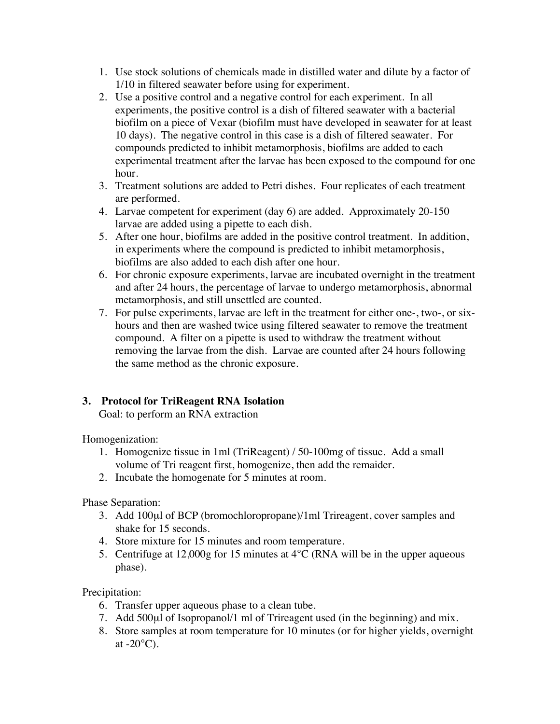- 1. Use stock solutions of chemicals made in distilled water and dilute by a factor of 1/10 in filtered seawater before using for experiment.
- 2. Use a positive control and a negative control for each experiment. In all experiments, the positive control is a dish of filtered seawater with a bacterial biofilm on a piece of Vexar (biofilm must have developed in seawater for at least 10 days). The negative control in this case is a dish of filtered seawater. For compounds predicted to inhibit metamorphosis, biofilms are added to each experimental treatment after the larvae has been exposed to the compound for one hour.
- 3. Treatment solutions are added to Petri dishes. Four replicates of each treatment are performed.
- 4. Larvae competent for experiment (day 6) are added. Approximately 20-150 larvae are added using a pipette to each dish.
- 5. After one hour, biofilms are added in the positive control treatment. In addition, in experiments where the compound is predicted to inhibit metamorphosis, biofilms are also added to each dish after one hour.
- 6. For chronic exposure experiments, larvae are incubated overnight in the treatment and after 24 hours, the percentage of larvae to undergo metamorphosis, abnormal metamorphosis, and still unsettled are counted.
- 7. For pulse experiments, larvae are left in the treatment for either one-, two-, or sixhours and then are washed twice using filtered seawater to remove the treatment compound. A filter on a pipette is used to withdraw the treatment without removing the larvae from the dish. Larvae are counted after 24 hours following the same method as the chronic exposure.

## **3. Protocol for TriReagent RNA Isolation**

Goal: to perform an RNA extraction

Homogenization:

- 1. Homogenize tissue in 1ml (TriReagent) / 50-100mg of tissue. Add a small volume of Tri reagent first, homogenize, then add the remaider.
- 2. Incubate the homogenate for 5 minutes at room.

Phase Separation:

- 3. Add 100µl of BCP (bromochloropropane)/1ml Trireagent, cover samples and shake for 15 seconds.
- 4. Store mixture for 15 minutes and room temperature.
- 5. Centrifuge at 12,000g for 15 minutes at 4°C (RNA will be in the upper aqueous phase).

Precipitation:

- 6. Transfer upper aqueous phase to a clean tube.
- 7. Add 500µl of Isopropanol/1 ml of Trireagent used (in the beginning) and mix.
- 8. Store samples at room temperature for 10 minutes (or for higher yields, overnight at  $-20^{\circ}$ C).